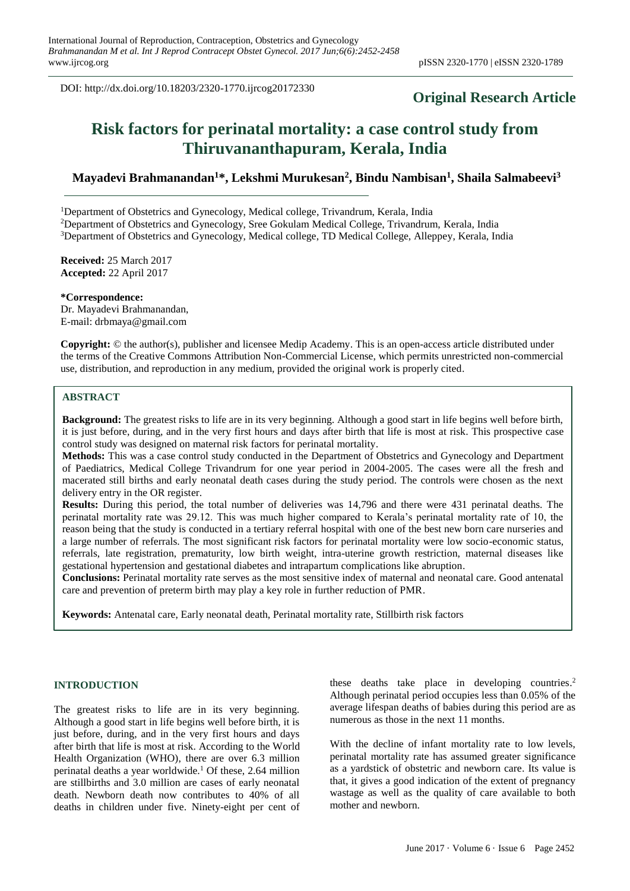DOI: http://dx.doi.org/10.18203/2320-1770.ijrcog20172330

# **Original Research Article**

# **Risk factors for perinatal mortality: a case control study from Thiruvananthapuram, Kerala, India**

# **Mayadevi Brahmanandan<sup>1</sup>\*, Lekshmi Murukesan<sup>2</sup> , Bindu Nambisan<sup>1</sup> , Shaila Salmabeevi<sup>3</sup>**

<sup>1</sup>Department of Obstetrics and Gynecology, Medical college, Trivandrum, Kerala, India

<sup>2</sup>Department of Obstetrics and Gynecology, Sree Gokulam Medical College, Trivandrum, Kerala, India

<sup>3</sup>Department of Obstetrics and Gynecology, Medical college, TD Medical College, Alleppey, Kerala, India

**Received:** 25 March 2017 **Accepted:** 22 April 2017

**\*Correspondence:** Dr. Mayadevi Brahmanandan, E-mail: drbmaya@gmail.com

**Copyright:** © the author(s), publisher and licensee Medip Academy. This is an open-access article distributed under the terms of the Creative Commons Attribution Non-Commercial License, which permits unrestricted non-commercial use, distribution, and reproduction in any medium, provided the original work is properly cited.

# **ABSTRACT**

**Background:** The greatest risks to life are in its very beginning. Although a good start in life begins well before birth, it is just before, during, and in the very first hours and days after birth that life is most at risk. This prospective case control study was designed on maternal risk factors for perinatal mortality.

**Methods:** This was a case control study conducted in the Department of Obstetrics and Gynecology and Department of Paediatrics, Medical College Trivandrum for one year period in 2004-2005. The cases were all the fresh and macerated still births and early neonatal death cases during the study period. The controls were chosen as the next delivery entry in the OR register.

**Results:** During this period, the total number of deliveries was 14,796 and there were 431 perinatal deaths. The perinatal mortality rate was 29.12. This was much higher compared to Kerala's perinatal mortality rate of 10, the reason being that the study is conducted in a tertiary referral hospital with one of the best new born care nurseries and a large number of referrals. The most significant risk factors for perinatal mortality were low socio-economic status, referrals, late registration, prematurity, low birth weight, intra-uterine growth restriction, maternal diseases like gestational hypertension and gestational diabetes and intrapartum complications like abruption.

**Conclusions:** Perinatal mortality rate serves as the most sensitive index of maternal and neonatal care. Good antenatal care and prevention of preterm birth may play a key role in further reduction of PMR.

**Keywords:** Antenatal care, Early neonatal death, Perinatal mortality rate, Stillbirth risk factors

#### **INTRODUCTION**

The greatest risks to life are in its very beginning. Although a good start in life begins well before birth, it is just before, during, and in the very first hours and days after birth that life is most at risk. According to the World Health Organization (WHO), there are over 6.3 million perinatal deaths a year worldwide.<sup>1</sup> Of these, 2.64 million are stillbirths and 3.0 million are cases of early neonatal death. Newborn death now contributes to 40% of all deaths in children under five. Ninety-eight per cent of

these deaths take place in developing countries. 2 Although perinatal period occupies less than 0.05% of the average lifespan deaths of babies during this period are as numerous as those in the next 11 months.

With the decline of infant mortality rate to low levels, perinatal mortality rate has assumed greater significance as a yardstick of obstetric and newborn care. Its value is that, it gives a good indication of the extent of pregnancy wastage as well as the quality of care available to both mother and newborn.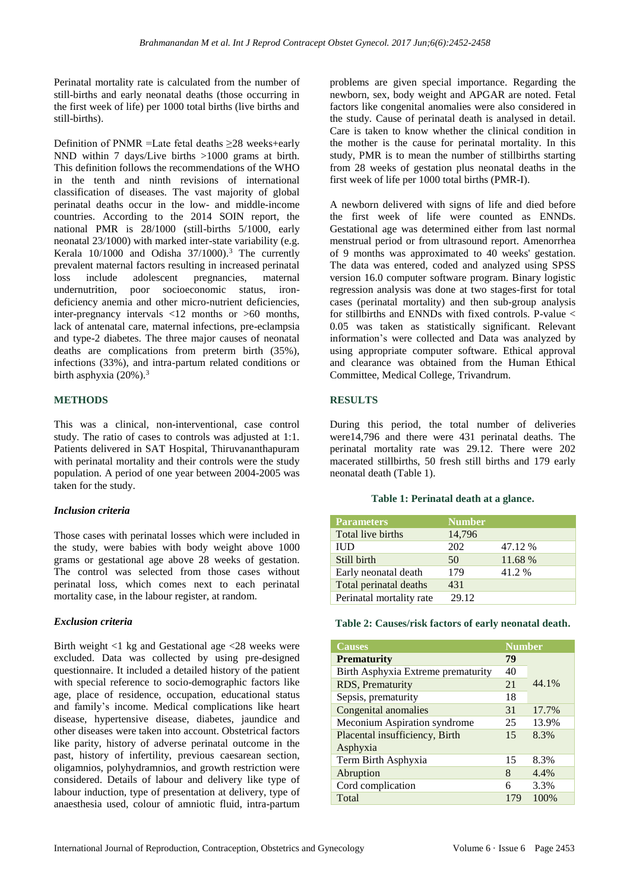Perinatal mortality rate is calculated from the number of still-births and early neonatal deaths (those occurring in the first week of life) per 1000 total births (live births and still-births).

Definition of PNMR =Late fetal deaths ≥28 weeks+early NND within 7 days/Live births >1000 grams at birth. This definition follows the recommendations of the WHO in the tenth and ninth revisions of international classification of diseases. The vast majority of global perinatal deaths occur in the low- and middle-income countries. According to the 2014 SOIN report, the national PMR is 28/1000 (still-births 5/1000, early neonatal 23/1000) with marked inter-state variability (e.g. Kerala  $10/1000$  and Odisha  $37/1000$ .<sup>3</sup> The currently prevalent maternal factors resulting in increased perinatal loss include adolescent pregnancies, maternal undernutrition, poor socioeconomic status, irondeficiency anemia and other micro-nutrient deficiencies, inter-pregnancy intervals <12 months or >60 months, lack of antenatal care, maternal infections, pre-eclampsia and type-2 diabetes. The three major causes of neonatal deaths are complications from preterm birth (35%), infections (33%), and intra-partum related conditions or birth asphyxia (20%).<sup>3</sup>

# **METHODS**

This was a clinical, non-interventional, case control study. The ratio of cases to controls was adjusted at 1:1. Patients delivered in SAT Hospital, Thiruvananthapuram with perinatal mortality and their controls were the study population. A period of one year between 2004-2005 was taken for the study.

# *Inclusion criteria*

Those cases with perinatal losses which were included in the study, were babies with body weight above 1000 grams or gestational age above 28 weeks of gestation. The control was selected from those cases without perinatal loss, which comes next to each perinatal mortality case, in the labour register, at random.

# *Exclusion criteria*

Birth weight <1 kg and Gestational age <28 weeks were excluded. Data was collected by using pre-designed questionnaire. It included a detailed history of the patient with special reference to socio-demographic factors like age, place of residence, occupation, educational status and family's income. Medical complications like heart disease, hypertensive disease, diabetes, jaundice and other diseases were taken into account. Obstetrical factors like parity, history of adverse perinatal outcome in the past, history of infertility, previous caesarean section, oligamnios, polyhydramnios, and growth restriction were considered. Details of labour and delivery like type of labour induction, type of presentation at delivery, type of anaesthesia used, colour of amniotic fluid, intra-partum problems are given special importance. Regarding the newborn, sex, body weight and APGAR are noted. Fetal factors like congenital anomalies were also considered in the study. Cause of perinatal death is analysed in detail. Care is taken to know whether the clinical condition in the mother is the cause for perinatal mortality. In this study, PMR is to mean the number of stillbirths starting from 28 weeks of gestation plus neonatal deaths in the first week of life per 1000 total births (PMR-I).

A newborn delivered with signs of life and died before the first week of life were counted as ENNDs. Gestational age was determined either from last normal menstrual period or from ultrasound report. Amenorrhea of 9 months was approximated to 40 weeks' gestation. The data was entered, coded and analyzed using SPSS version 16.0 computer software program. Binary logistic regression analysis was done at two stages-first for total cases (perinatal mortality) and then sub-group analysis for stillbirths and ENNDs with fixed controls. P-value < 0.05 was taken as statistically significant. Relevant information's were collected and Data was analyzed by using appropriate computer software. Ethical approval and clearance was obtained from the Human Ethical Committee, Medical College, Trivandrum.

# **RESULTS**

During this period, the total number of deliveries were14,796 and there were 431 perinatal deaths. The perinatal mortality rate was 29.12. There were 202 macerated stillbirths, 50 fresh still births and 179 early neonatal death (Table 1).

#### **Table 1: Perinatal death at a glance.**

| <b>Parameters</b>        | <b>Number</b> |         |
|--------------------------|---------------|---------|
| Total live births        | 14,796        |         |
| <b>IUD</b>               | 202           | 47.12 % |
| Still birth              | 50            | 11.68 % |
| Early neonatal death     | 179           | 41.2 %  |
| Total perinatal deaths   | 431           |         |
| Perinatal mortality rate | 29.12         |         |

#### **Table 2: Causes/risk factors of early neonatal death.**

| <b>Causes</b>                      | <b>Number</b> |       |  |
|------------------------------------|---------------|-------|--|
| <b>Prematurity</b>                 | 79            |       |  |
| Birth Asphyxia Extreme prematurity | 40            |       |  |
| RDS, Prematurity                   | 21            | 44.1% |  |
| Sepsis, prematurity                | 18            |       |  |
| Congenital anomalies               | 31            | 17.7% |  |
| Meconium Aspiration syndrome       | 25            | 13.9% |  |
| Placental insufficiency, Birth     | 15            | 8.3%  |  |
| Asphyxia                           |               |       |  |
| Term Birth Asphyxia                | 15            | 8.3%  |  |
| Abruption                          | 8             | 4.4%  |  |
| Cord complication                  | 6             | 3.3%  |  |
| Total                              | 179           | 100%  |  |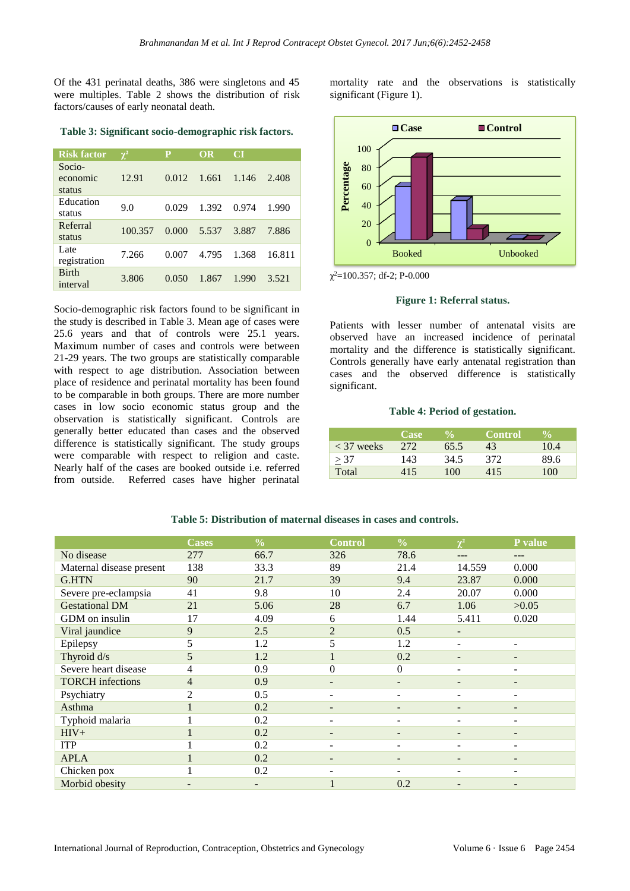Of the 431 perinatal deaths, 386 were singletons and 45 were multiples. Table 2 shows the distribution of risk factors/causes of early neonatal death.

**Table 3: Significant socio-demographic risk factors.**

| <b>Risk factor</b>           | $\chi^2$ | Р     | OR    | CI    |        |
|------------------------------|----------|-------|-------|-------|--------|
| Socio-<br>economic<br>status | 12.91    | 0.012 | 1.661 | 1.146 | 2.408  |
| Education<br>status          | 9.0      | 0.029 | 1.392 | 0.974 | 1.990  |
| Referral<br>status           | 100.357  | 0.000 | 5.537 | 3.887 | 7.886  |
| Late<br>registration         | 7.266    | 0.007 | 4.795 | 1.368 | 16.811 |
| <b>Birth</b><br>interval     | 3.806    | 0.050 | 1.867 | 1.990 | 3.521  |

Socio-demographic risk factors found to be significant in the study is described in Table 3. Mean age of cases were 25.6 years and that of controls were 25.1 years. Maximum number of cases and controls were between 21-29 years. The two groups are statistically comparable with respect to age distribution. Association between place of residence and perinatal mortality has been found to be comparable in both groups. There are more number cases in low socio economic status group and the observation is statistically significant. Controls are generally better educated than cases and the observed difference is statistically significant. The study groups were comparable with respect to religion and caste. Nearly half of the cases are booked outside i.e. referred from outside. Referred cases have higher perinatal

mortality rate and the observations is statistically significant (Figure 1).



 $\chi^2$ =100.357; df-2; P-0.000

#### **Figure 1: Referral status.**

Patients with lesser number of antenatal visits are observed have an increased incidence of perinatal mortality and the difference is statistically significant. Controls generally have early antenatal registration than cases and the observed difference is statistically significant.

#### **Table 4: Period of gestation.**

|              | <b>Case</b> | $\frac{0}{\pi}$ | <b>Control</b> | $\frac{0}{n}$ |
|--------------|-------------|-----------------|----------------|---------------|
| $<$ 37 weeks | 272         | 65.5            | 43             | 10.4          |
| $\geq$ 37    | 143         | 34.5            | 372            | 89.6          |
| Total        | 415         | 100             | 415            | 100           |

|                          | <b>Cases</b>   | $\frac{6}{6}$ | <b>Control</b> | $\frac{0}{0}$            | $\chi^2$       | P value                  |
|--------------------------|----------------|---------------|----------------|--------------------------|----------------|--------------------------|
| No disease               | 277            | 66.7          | 326            | 78.6                     |                |                          |
| Maternal disease present | 138            | 33.3          | 89             | 21.4                     | 14.559         | 0.000                    |
| <b>G.HTN</b>             | 90             | 21.7          | 39             | 9.4                      | 23.87          | 0.000                    |
| Severe pre-eclampsia     | 41             | 9.8           | 10             | 2.4                      | 20.07          | 0.000                    |
| <b>Gestational DM</b>    | 21             | 5.06          | 28             | 6.7                      | 1.06           | >0.05                    |
| GDM on insulin           | 17             | 4.09          | 6              | 1.44                     | 5.411          | 0.020                    |
| Viral jaundice           | 9              | 2.5           | $\overline{2}$ | 0.5                      |                |                          |
| Epilepsy                 | 5              | 1.2           | 5              | 1.2                      |                | ۰                        |
| Thyroid d/s              | 5              | 1.2           | $\mathbf{1}$   | 0.2                      | -              | $\overline{\phantom{0}}$ |
| Severe heart disease     | 4              | 0.9           | $\Omega$       | $\mathbf{0}$             |                | ۰                        |
| <b>TORCH</b> infections  | 4              | 0.9           |                |                          |                |                          |
| Psychiatry               | $\overline{2}$ | 0.5           |                | ۰                        |                |                          |
| Asthma                   |                | 0.2           |                | ۰                        |                | -                        |
| Typhoid malaria          |                | 0.2           |                |                          |                |                          |
| $HIV+$                   |                | 0.2           |                |                          |                | $\overline{\phantom{0}}$ |
| <b>ITP</b>               |                | 0.2           |                | $\overline{\phantom{a}}$ | $\blacksquare$ | ٠                        |
| <b>APLA</b>              |                | 0.2           |                | ۰                        |                | $\overline{\phantom{a}}$ |
| Chicken pox              |                | 0.2           |                |                          |                |                          |
| Morbid obesity           |                |               |                | 0.2                      |                |                          |

#### **Table 5: Distribution of maternal diseases in cases and controls.**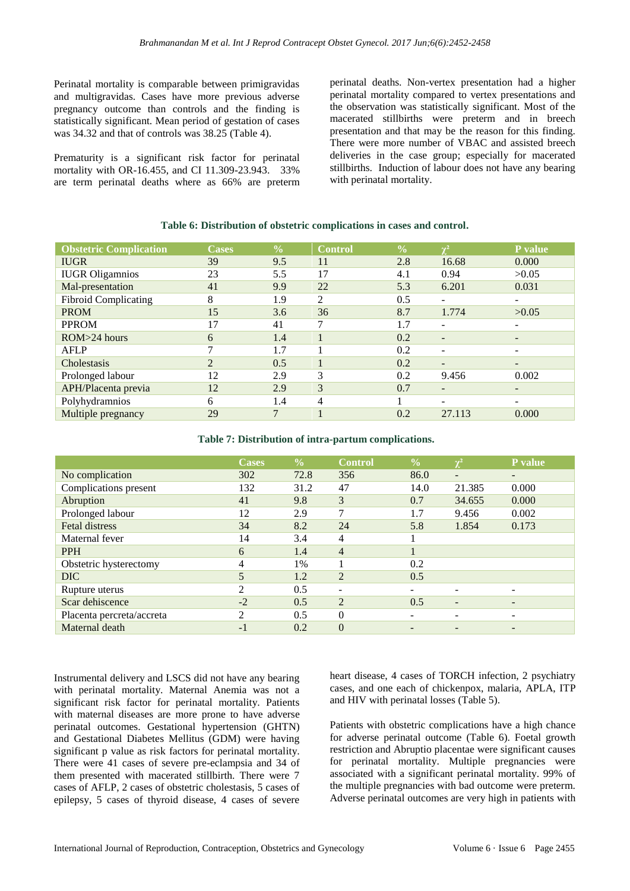Perinatal mortality is comparable between primigravidas and multigravidas. Cases have more previous adverse pregnancy outcome than controls and the finding is statistically significant. Mean period of gestation of cases was 34.32 and that of controls was 38.25 (Table 4).

Prematurity is a significant risk factor for perinatal mortality with OR-16.455, and CI 11.309-23.943. 33% are term perinatal deaths where as 66% are preterm perinatal deaths. Non-vertex presentation had a higher perinatal mortality compared to vertex presentations and the observation was statistically significant. Most of the macerated stillbirths were preterm and in breech presentation and that may be the reason for this finding. There were more number of VBAC and assisted breech deliveries in the case group; especially for macerated stillbirths. Induction of labour does not have any bearing with perinatal mortality.

| <b>Obstetric Complication</b> | <b>Cases</b>   | $\frac{0}{0}$  | <b>Control</b> | $\frac{0}{0}$ | $\chi^2$ | P value                  |
|-------------------------------|----------------|----------------|----------------|---------------|----------|--------------------------|
| <b>IUGR</b>                   | 39             | 9.5            | 11             | 2.8           | 16.68    | 0.000                    |
| <b>IUGR Oligamnios</b>        | 23             | 5.5            | 17             | 4.1           | 0.94     | >0.05                    |
| Mal-presentation              | 41             | 9.9            | 22             | 5.3           | 6.201    | 0.031                    |
| <b>Fibroid Complicating</b>   | 8              | 1.9            | 2              | 0.5           |          | $\overline{\phantom{0}}$ |
| <b>PROM</b>                   | 15             | 3.6            | 36             | 8.7           | 1.774    | >0.05                    |
| <b>PPROM</b>                  | 17             | 41             | 7              | 1.7           |          | -                        |
| $ROM > 24$ hours              | 6              | 1.4            |                | 0.2           |          | $\overline{\phantom{0}}$ |
| <b>AFLP</b>                   | ⇁              | 1.7            |                | 0.2           |          |                          |
| Cholestasis                   | $\overline{2}$ | 0.5            |                | 0.2           |          | $\overline{\phantom{0}}$ |
| Prolonged labour              | 12             | 2.9            | 3              | 0.2           | 9.456    | 0.002                    |
| APH/Placenta previa           | 12             | 2.9            | 3              | 0.7           |          | $\overline{\phantom{0}}$ |
| Polyhydramnios                | 6              | 1.4            | 4              |               |          | -                        |
| Multiple pregnancy            | 29             | $\overline{7}$ |                | 0.2           | 27.113   | 0.000                    |

#### **Table 7: Distribution of intra-partum complications.**

|                           | <b>Cases</b>   | $\frac{0}{0}$ | <b>Control</b>           | $\frac{0}{0}$ | $\chi^2$ | <b>P</b> value           |
|---------------------------|----------------|---------------|--------------------------|---------------|----------|--------------------------|
| No complication           | 302            | 72.8          | 356                      | 86.0          |          | $\overline{\phantom{0}}$ |
| Complications present     | 132            | 31.2          | 47                       | 14.0          | 21.385   | 0.000                    |
| Abruption                 | 41             | 9.8           | 3                        | 0.7           | 34.655   | 0.000                    |
| Prolonged labour          | 12             | 2.9           | 7                        | 1.7           | 9.456    | 0.002                    |
| <b>Fetal distress</b>     | 34             | 8.2           | 24                       | 5.8           | 1.854    | 0.173                    |
| Maternal fever            | 14             | 3.4           | 4                        |               |          |                          |
| <b>PPH</b>                | 6              | 1.4           | 4                        |               |          |                          |
| Obstetric hysterectomy    | 4              | 1%            |                          | 0.2           |          |                          |
| DIC                       | 5              | 1.2           | $\overline{2}$           | 0.5           |          |                          |
| Rupture uterus            | 2              | 0.5           | $\overline{\phantom{0}}$ | -             |          | -                        |
| Scar dehiscence           | $-2$           | 0.5           | $\mathcal{L}$            | 0.5           |          |                          |
| Placenta percreta/accreta | $\overline{2}$ | 0.5           | $\theta$                 |               |          |                          |
| Maternal death            | $-1$           | 0.2           | $\Omega$                 |               |          |                          |

Instrumental delivery and LSCS did not have any bearing with perinatal mortality. Maternal Anemia was not a significant risk factor for perinatal mortality. Patients with maternal diseases are more prone to have adverse perinatal outcomes. Gestational hypertension (GHTN) and Gestational Diabetes Mellitus (GDM) were having significant p value as risk factors for perinatal mortality. There were 41 cases of severe pre-eclampsia and 34 of them presented with macerated stillbirth. There were 7 cases of AFLP, 2 cases of obstetric cholestasis, 5 cases of epilepsy, 5 cases of thyroid disease, 4 cases of severe

heart disease, 4 cases of TORCH infection, 2 psychiatry cases, and one each of chickenpox, malaria, APLA, ITP and HIV with perinatal losses (Table 5).

Patients with obstetric complications have a high chance for adverse perinatal outcome (Table 6). Foetal growth restriction and Abruptio placentae were significant causes for perinatal mortality. Multiple pregnancies were associated with a significant perinatal mortality. 99% of the multiple pregnancies with bad outcome were preterm. Adverse perinatal outcomes are very high in patients with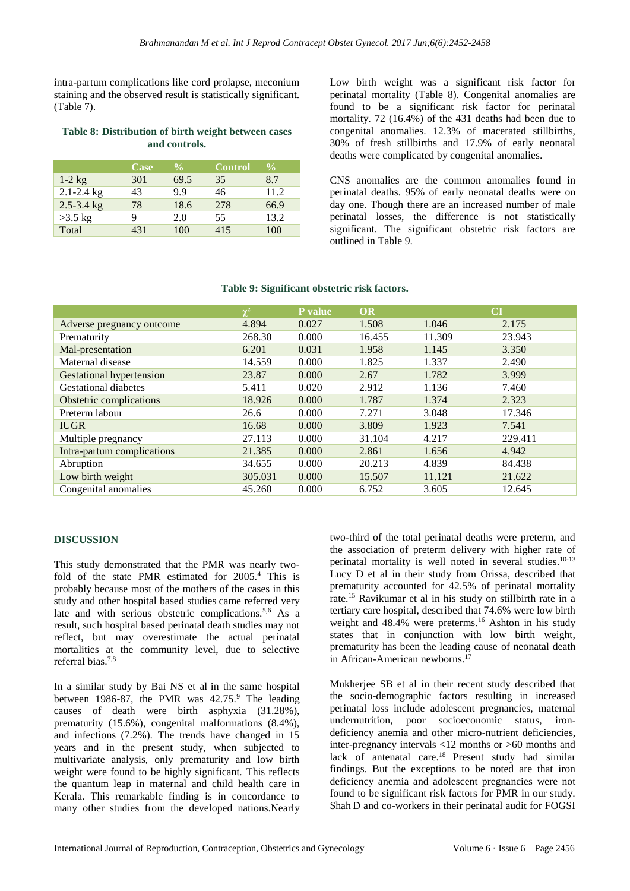intra-partum complications like cord prolapse, meconium staining and the observed result is statistically significant. (Table 7).

# **Table 8: Distribution of birth weight between cases and controls.**

|                | <b>Case</b> | $\frac{6}{10}$ | <b>Control</b> | $\frac{6}{10}$ |
|----------------|-------------|----------------|----------------|----------------|
| $1-2$ kg       | 301         | 69.5           | 35             | 8.7            |
| $2.1 - 2.4$ kg | 43          | 9.9            | 46             | 11.2           |
| $2.5 - 3.4$ kg | 78          | 18.6           | 278            | 66.9           |
| $>3.5$ kg      | Q           | 2.0            | 55             | 13.2           |
| Total          | 431         | 100            | 415            | 100            |

Low birth weight was a significant risk factor for perinatal mortality (Table 8). Congenital anomalies are found to be a significant risk factor for perinatal mortality. 72 (16.4%) of the 431 deaths had been due to congenital anomalies. 12.3% of macerated stillbirths, 30% of fresh stillbirths and 17.9% of early neonatal deaths were complicated by congenital anomalies.

CNS anomalies are the common anomalies found in perinatal deaths. 95% of early neonatal deaths were on day one. Though there are an increased number of male perinatal losses, the difference is not statistically significant. The significant obstetric risk factors are outlined in Table 9.

# **Table 9: Significant obstetric risk factors.**

|                                 | $\gamma^2$ | P value | OR     |        | CI      |
|---------------------------------|------------|---------|--------|--------|---------|
| Adverse pregnancy outcome       | 4.894      | 0.027   | 1.508  | 1.046  | 2.175   |
| Prematurity                     | 268.30     | 0.000   | 16.455 | 11.309 | 23.943  |
| Mal-presentation                | 6.201      | 0.031   | 1.958  | 1.145  | 3.350   |
| Maternal disease                | 14.559     | 0.000   | 1.825  | 1.337  | 2.490   |
| <b>Gestational hypertension</b> | 23.87      | 0.000   | 2.67   | 1.782  | 3.999   |
| <b>Gestational diabetes</b>     | 5.411      | 0.020   | 2.912  | 1.136  | 7.460   |
| Obstetric complications         | 18.926     | 0.000   | 1.787  | 1.374  | 2.323   |
| Preterm labour                  | 26.6       | 0.000   | 7.271  | 3.048  | 17.346  |
| <b>IUGR</b>                     | 16.68      | 0.000   | 3.809  | 1.923  | 7.541   |
| Multiple pregnancy              | 27.113     | 0.000   | 31.104 | 4.217  | 229.411 |
| Intra-partum complications      | 21.385     | 0.000   | 2.861  | 1.656  | 4.942   |
| Abruption                       | 34.655     | 0.000   | 20.213 | 4.839  | 84.438  |
| Low birth weight                | 305.031    | 0.000   | 15.507 | 11.121 | 21.622  |
| Congenital anomalies            | 45.260     | 0.000   | 6.752  | 3.605  | 12.645  |

# **DISCUSSION**

This study demonstrated that the PMR was nearly twofold of the state PMR estimated for 2005.<sup>4</sup> This is probably because most of the mothers of the cases in this study and other hospital based studies came referred very late and with serious obstetric complications.<sup>5,6</sup> As a result, such hospital based perinatal death studies may not reflect, but may overestimate the actual perinatal mortalities at the community level, due to selective referral bias.7,8

In a similar study by Bai NS et al in the same hospital between 1986-87, the PMR was  $42.75$ .<sup>9</sup> The leading causes of death were birth asphyxia (31.28%), prematurity (15.6%), congenital malformations (8.4%), and infections (7.2%). The trends have changed in 15 years and in the present study, when subjected to multivariate analysis, only prematurity and low birth weight were found to be highly significant. This reflects the quantum leap in maternal and child health care in Kerala. This remarkable finding is in concordance to many other studies from the developed nations.Nearly two-third of the total perinatal deaths were preterm, and the association of preterm delivery with higher rate of perinatal mortality is well noted in several studies.10-13 Lucy D et al in their study from Orissa, described that prematurity accounted for 42.5% of perinatal mortality rate.<sup>15</sup> Ravikumar et al in his study on stillbirth rate in a tertiary care hospital, described that 74.6% were low birth weight and 48.4% were preterms.<sup>16</sup> Ashton in his study states that in conjunction with low birth weight, prematurity has been the leading cause of neonatal death in African-American newborns.<sup>1</sup>

Mukherjee SB et al in their recent study described that the socio-demographic factors resulting in increased perinatal loss include adolescent pregnancies, maternal undernutrition, poor socioeconomic status, irondeficiency anemia and other micro-nutrient deficiencies, inter-pregnancy intervals <12 months or >60 months and lack of antenatal care.<sup>18</sup> Present study had similar findings. But the exceptions to be noted are that iron deficiency anemia and adolescent pregnancies were not found to be significant risk factors for PMR in our study. Shah D and co-workers in their perinatal audit for FOGSI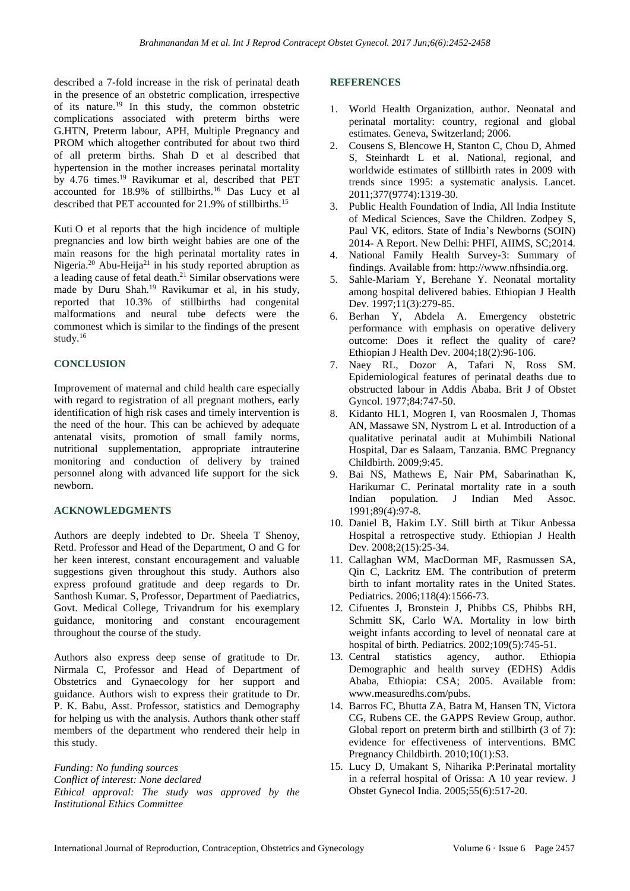described a 7-fold increase in the risk of perinatal death in the presence of an obstetric complication, irrespective of its nature.<sup>19</sup> In this study, the common obstetric complications associated with preterm births were G.HTN, Preterm labour, APH, Multiple Pregnancy and PROM which altogether contributed for about two third of all preterm births. Shah D et al described that hypertension in the mother increases perinatal mortality by 4.76 times.<sup>19</sup> Ravikumar et al, described that PET accounted for  $18.9\%$  of stillbirths.<sup>16</sup> Das Lucy et al described that PET accounted for 21.9% of stillbirths.<sup>15</sup>

Kuti O et al reports that the high incidence of multiple pregnancies and low birth weight babies are one of the main reasons for the high perinatal mortality rates in Nigeria.<sup>20</sup> Abu-Heija<sup>21</sup> in his study reported abruption as a leading cause of fetal death.<sup>21</sup> Similar observations were made by Duru Shah.<sup>19</sup> Ravikumar et al, in his study, reported that 10.3% of stillbirths had congenital malformations and neural tube defects were the commonest which is similar to the findings of the present study.<sup>16</sup>

# **CONCLUSION**

Improvement of maternal and child health care especially with regard to registration of all pregnant mothers, early identification of high risk cases and timely intervention is the need of the hour. This can be achieved by adequate antenatal visits, promotion of small family norms, nutritional supplementation, appropriate intrauterine monitoring and conduction of delivery by trained personnel along with advanced life support for the sick newborn.

#### **ACKNOWLEDGMENTS**

Authors are deeply indebted to Dr. Sheela T Shenoy, Retd. Professor and Head of the Department, O and G for her keen interest, constant encouragement and valuable suggestions given throughout this study. Authors also express profound gratitude and deep regards to Dr. Santhosh Kumar. S, Professor, Department of Paediatrics, Govt. Medical College, Trivandrum for his exemplary guidance, monitoring and constant encouragement throughout the course of the study.

Authors also express deep sense of gratitude to Dr. Nirmala C, Professor and Head of Department of Obstetrics and Gynaecology for her support and guidance. Authors wish to express their gratitude to Dr. P. K. Babu, Asst. Professor, statistics and Demography for helping us with the analysis. Authors thank other staff members of the department who rendered their help in this study.

*Funding: No funding sources Conflict of interest: None declared Ethical approval: The study was approved by the Institutional Ethics Committee*

# **REFERENCES**

- 1. World Health Organization, author. Neonatal and perinatal mortality: country, regional and global estimates. Geneva, Switzerland; 2006.
- 2. Cousens S, Blencowe H, Stanton C, Chou D, Ahmed S, Steinhardt L et al. National, regional, and worldwide estimates of stillbirth rates in 2009 with trends since 1995: a systematic analysis. Lancet. 2011;377(9774):1319-30.
- 3. Public Health Foundation of India, All India Institute of Medical Sciences, Save the Children. Zodpey S, Paul VK, editors. State of India's Newborns (SOIN) 2014- A Report. New Delhi: PHFI, AIIMS, SC;2014.
- 4. National Family Health Survey-3: Summary of findings. Available from: http://www.nfhsindia.org.
- 5. Sahle-Mariam Y, Berehane Y. Neonatal mortality among hospital delivered babies. Ethiopian J Health Dev. 1997;11(3):279-85.
- 6. Berhan Y, Abdela A. Emergency obstetric performance with emphasis on operative delivery outcome: Does it reflect the quality of care? Ethiopian J Health Dev. 2004;18(2):96-106.
- 7. Naey RL, Dozor A, Tafari N, Ross SM. Epidemiological features of perinatal deaths due to obstructed labour in Addis Ababa. Brit J of Obstet Gyncol. 1977;84:747-50.
- 8. Kidanto HL1, Mogren I, van Roosmalen J, Thomas AN, Massawe SN, Nystrom L et al. Introduction of a qualitative perinatal audit at Muhimbili National Hospital, Dar es Salaam, Tanzania. BMC Pregnancy Childbirth. 2009;9:45.
- 9. Bai NS, Mathews E, Nair PM, Sabarinathan K, Harikumar C. Perinatal mortality rate in a south Indian population. J Indian Med Assoc. 1991;89(4):97-8.
- 10. Daniel B, Hakim LY. Still birth at Tikur Anbessa Hospital a retrospective study. Ethiopian J Health Dev. 2008;2(15):25-34.
- 11. Callaghan WM, MacDorman MF, Rasmussen SA, Qin C, Lackritz EM. The contribution of preterm birth to infant mortality rates in the United States. Pediatrics. 2006;118(4):1566-73.
- 12. Cifuentes J, Bronstein J, Phibbs CS, Phibbs RH, Schmitt SK, Carlo WA. Mortality in low birth weight infants according to level of neonatal care at hospital of birth. Pediatrics. 2002;109(5):745-51.
- 13. Central statistics agency, author. Ethiopia Demographic and health survey (EDHS) Addis Ababa, Ethiopia: CSA; 2005. Available from: www.measuredhs.com/pubs.
- 14. Barros FC, Bhutta ZA, Batra M, Hansen TN, Victora CG, Rubens CE. the GAPPS Review Group, author. Global report on preterm birth and stillbirth  $(3 \text{ of } 7)$ : evidence for effectiveness of interventions. BMC Pregnancy Childbirth. 2010;10(1):S3.
- 15. Lucy D, Umakant S, Niharika P:Perinatal mortality in a referral hospital of Orissa: A 10 year review. J Obstet Gynecol India. 2005;55(6):517-20.